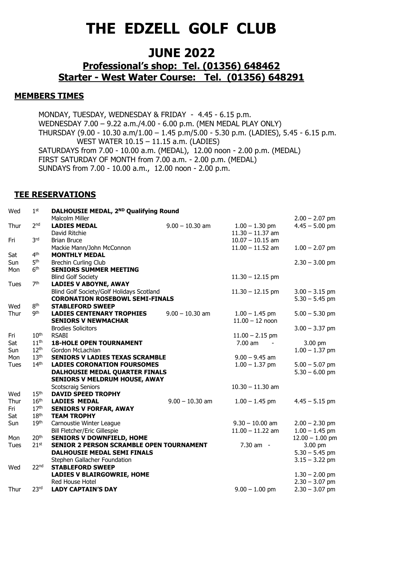# **THE EDZELL GOLF CLUB**

## **JUNE 2022**

### **Professional's shop: Tel. (01356) 648462 Starter - West Water Course: Tel. (01356) 648291**

#### **MEMBERS TIMES**

MONDAY, TUESDAY, WEDNESDAY & FRIDAY - 4.45 - 6.15 p.m. WEDNESDAY 7.00 – 9.22 a.m./4.00 - 6.00 p.m. (MEN MEDAL PLAY ONLY) THURSDAY (9.00 - 10.30 a.m/1.00 – 1.45 p.m/5.00 - 5.30 p.m. (LADIES), 5.45 - 6.15 p.m. WEST WATER 10.15 – 11.15 a.m. (LADIES) SATURDAYS from 7.00 - 10.00 a.m. (MEDAL), 12.00 noon - 2.00 p.m. (MEDAL) FIRST SATURDAY OF MONTH from 7.00 a.m. - 2.00 p.m. (MEDAL) SUNDAYS from 7.00 - 10.00 a.m., 12.00 noon - 2.00 p.m.

#### **TEE RESERVATIONS**

| Wed         | 1 <sup>st</sup>  | DALHOUSIE MEDAL, 2 <sup>ND</sup> Qualifying Round |                   |                     |                   |
|-------------|------------------|---------------------------------------------------|-------------------|---------------------|-------------------|
|             |                  | Malcolm Miller                                    |                   |                     | $2.00 - 2.07$ pm  |
| Thur        | 2 <sub>nd</sub>  | <b>LADIES MEDAL</b>                               | $9.00 - 10.30$ am | $1.00 - 1.30$ pm    | $4.45 - 5.00$ pm  |
|             |                  | David Ritchie                                     |                   | $11.30 - 11.37$ am  |                   |
| Fri         | 3 <sup>rd</sup>  | <b>Brian Bruce</b>                                |                   | $10.07 - 10.15$ am  |                   |
|             |                  | Mackie Mann/John McConnon                         |                   | $11.00 - 11.52$ am  | $1.00 - 2.07$ pm  |
| Sat         | 4 <sup>th</sup>  | <b>MONTHLY MEDAL</b>                              |                   |                     |                   |
| Sun         | 5 <sup>th</sup>  | <b>Brechin Curling Club</b>                       |                   |                     | $2.30 - 3.00$ pm  |
| Mon         | 6 <sup>th</sup>  | <b>SENIORS SUMMER MEETING</b>                     |                   |                     |                   |
|             |                  | <b>Blind Golf Society</b>                         |                   | $11.30 - 12.15$ pm  |                   |
| <b>Tues</b> | 7 <sup>th</sup>  | <b>LADIES V ABOYNE, AWAY</b>                      |                   |                     |                   |
|             |                  | Blind Golf Society/Golf Holidays Scotland         |                   | $11.30 - 12.15$ pm  | $3.00 - 3.15$ pm  |
|             |                  | <b>CORONATION ROSEBOWL SEMI-FINALS</b>            |                   |                     | $5.30 - 5.45$ pm  |
| Wed         | 8 <sup>th</sup>  | <b>STABLEFORD SWEEP</b>                           |                   |                     |                   |
| Thur        | gth              | <b>LADIES CENTENARY TROPHIES</b>                  | $9.00 - 10.30$ am | $1.00 - 1.45$ pm    | $5.00 - 5.30$ pm  |
|             |                  | <b>SENIORS V NEWMACHAR</b>                        |                   | $11.00 - 12$ noon   |                   |
|             |                  | <b>Brodies Solicitors</b>                         |                   |                     | $3.00 - 3.37$ pm  |
| Fri         | 10 <sup>th</sup> | <b>RSABI</b>                                      |                   | $11.00 - 2.15$ pm   |                   |
| Sat         | 11 <sup>th</sup> | <b>18-HOLE OPEN TOURNAMENT</b>                    |                   | $7.00$ am<br>$\sim$ | 3.00 pm           |
| Sun         | 12 <sup>th</sup> | Gordon McLachlan                                  |                   |                     | $1.00 - 1.37$ pm  |
| Mon         | 13 <sup>th</sup> | <b>SENIORS V LADIES TEXAS SCRAMBLE</b>            |                   | $9.00 - 9.45$ am    |                   |
| Tues        | 14 <sup>th</sup> | <b>LADIES CORONATION FOURSOMES</b>                |                   | $1.00 - 1.37$ pm    | $5.00 - 5.07$ pm  |
|             |                  | DALHOUSIE MEDAL QUARTER FINALS                    |                   |                     | $5.30 - 6.00$ pm  |
|             |                  | <b>SENIORS V MELDRUM HOUSE, AWAY</b>              |                   |                     |                   |
|             |                  | <b>Scotscraig Seniors</b>                         |                   | $10.30 - 11.30$ am  |                   |
| Wed         | 15 <sup>th</sup> | <b>DAVID SPEED TROPHY</b>                         |                   |                     |                   |
| Thur        | $16^{\rm th}$    | <b>LADIES MEDAL</b>                               | $9.00 - 10.30$ am | $1.00 - 1.45$ pm    | $4.45 - 5.15$ pm  |
| Fri         | 17 <sup>th</sup> | <b>SENIORS V FORFAR, AWAY</b>                     |                   |                     |                   |
| Sat         | 18 <sup>th</sup> | <b>TEAM TROPHY</b>                                |                   |                     |                   |
| Sun         | 19 <sup>th</sup> | Carnoustie Winter League                          |                   | $9.30 - 10.00$ am   | $2.00 - 2.30$ pm  |
|             |                  | Bill Fletcher/Eric Gillespie                      |                   | $11.00 - 11.22$ am  | $1.00 - 1.45$ pm  |
| Mon         | 20 <sup>th</sup> | <b>SENIORS V DOWNFIELD, HOME</b>                  |                   |                     | $12.00 - 1.00$ pm |
| Tues        | 21 <sup>st</sup> | <b>SENIOR 2 PERSON SCRAMBLE OPEN TOURNAMENT</b>   |                   | $7.30$ am $-$       | 3.00 pm           |
|             |                  | <b>DALHOUSIE MEDAL SEMI FINALS</b>                |                   |                     | $5.30 - 5.45$ pm  |
| Wed         |                  | Stephen Gallacher Foundation                      |                   |                     | $3.15 - 3.22$ pm  |
|             | 22 <sup>nd</sup> | <b>STABLEFORD SWEEP</b>                           |                   |                     |                   |
|             |                  | <b>LADIES V BLAIRGOWRIE, HOME</b>                 |                   |                     | $1.30 - 2.00$ pm  |
|             |                  | Red House Hotel                                   |                   |                     | $2.30 - 3.07$ pm  |
| Thur        | 23 <sup>rd</sup> | <b>LADY CAPTAIN'S DAY</b>                         |                   | $9.00 - 1.00$ pm    | $2.30 - 3.07$ pm  |